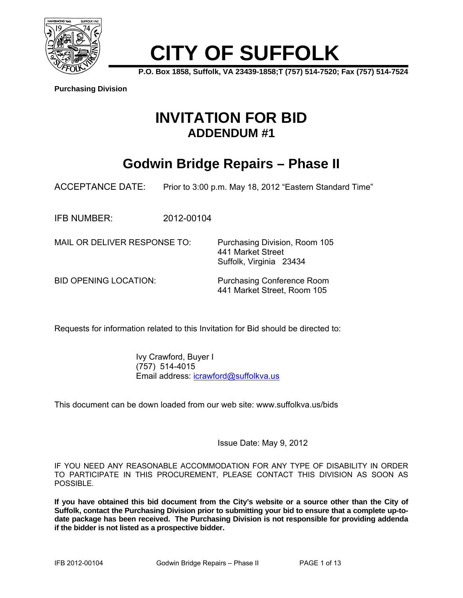

# **CITY OF SUFFOLK**

**P.O. Box 1858, Suffolk, VA 23439-1858;T (757) 514-7520; Fax (757) 514-7524** 

**Purchasing Division**

## **INVITATION FOR BID ADDENDUM #1**

# **Godwin Bridge Repairs – Phase II**

ACCEPTANCE DATE: Prior to 3:00 p.m. May 18, 2012 "Eastern Standard Time"

IFB NUMBER: 2012-00104

MAIL OR DELIVER RESPONSE TO: Purchasing Division, Room 105 441 Market Street Suffolk, Virginia 23434

BID OPENING LOCATION: Purchasing Conference Room 441 Market Street, Room 105

Requests for information related to this Invitation for Bid should be directed to:

 Ivy Crawford, Buyer I (757) 514-4015 Email address: icrawford@suffolkva.us

This document can be down loaded from our web site: www.suffolkva.us/bids

Issue Date: May 9, 2012

IF YOU NEED ANY REASONABLE ACCOMMODATION FOR ANY TYPE OF DISABILITY IN ORDER TO PARTICIPATE IN THIS PROCUREMENT, PLEASE CONTACT THIS DIVISION AS SOON AS POSSIBLE.

**If you have obtained this bid document from the City's website or a source other than the City of Suffolk, contact the Purchasing Division prior to submitting your bid to ensure that a complete up-todate package has been received. The Purchasing Division is not responsible for providing addenda if the bidder is not listed as a prospective bidder.**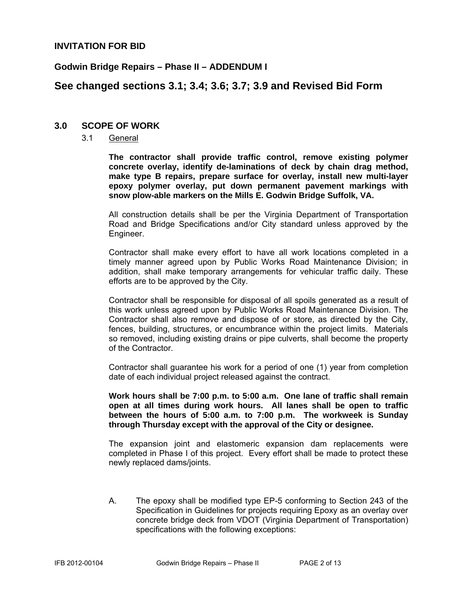### **INVITATION FOR BID**

#### **Godwin Bridge Repairs – Phase II – ADDENDUM I**

### **See changed sections 3.1; 3.4; 3.6; 3.7; 3.9 and Revised Bid Form**

#### **3.0 SCOPE OF WORK**

3.1 General

**The contractor shall provide traffic control, remove existing polymer concrete overlay, identify de-laminations of deck by chain drag method, make type B repairs, prepare surface for overlay, install new multi-layer epoxy polymer overlay, put down permanent pavement markings with snow plow-able markers on the Mills E. Godwin Bridge Suffolk, VA.** 

All construction details shall be per the Virginia Department of Transportation Road and Bridge Specifications and/or City standard unless approved by the Engineer.

Contractor shall make every effort to have all work locations completed in a timely manner agreed upon by Public Works Road Maintenance Division; in addition, shall make temporary arrangements for vehicular traffic daily. These efforts are to be approved by the City.

Contractor shall be responsible for disposal of all spoils generated as a result of this work unless agreed upon by Public Works Road Maintenance Division. The Contractor shall also remove and dispose of or store, as directed by the City, fences, building, structures, or encumbrance within the project limits. Materials so removed, including existing drains or pipe culverts, shall become the property of the Contractor.

Contractor shall guarantee his work for a period of one (1) year from completion date of each individual project released against the contract.

**Work hours shall be 7:00 p.m. to 5:00 a.m. One lane of traffic shall remain open at all times during work hours. All lanes shall be open to traffic between the hours of 5:00 a.m. to 7:00 p.m. The workweek is Sunday through Thursday except with the approval of the City or designee.** 

The expansion joint and elastomeric expansion dam replacements were completed in Phase I of this project. Every effort shall be made to protect these newly replaced dams/joints.

A. The epoxy shall be modified type EP-5 conforming to Section 243 of the Specification in Guidelines for projects requiring Epoxy as an overlay over concrete bridge deck from VDOT (Virginia Department of Transportation) specifications with the following exceptions: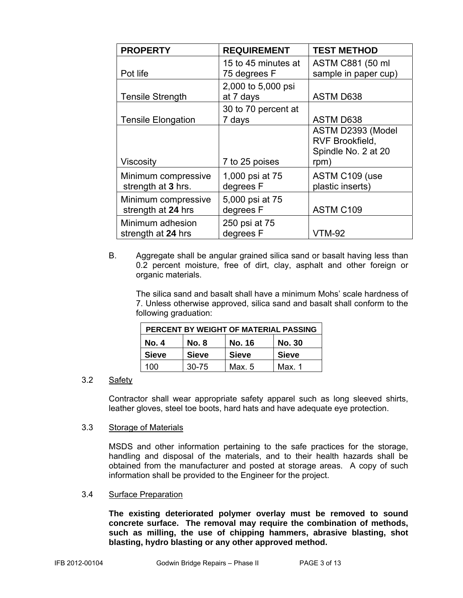| <b>PROPERTY</b>                           | <b>REQUIREMENT</b>                  | <b>TEST METHOD</b>                                                  |
|-------------------------------------------|-------------------------------------|---------------------------------------------------------------------|
| Pot life                                  | 15 to 45 minutes at<br>75 degrees F | ASTM C881 (50 ml<br>sample in paper cup)                            |
| <b>Tensile Strength</b>                   | 2,000 to 5,000 psi<br>at 7 days     | <b>ASTM D638</b>                                                    |
| <b>Tensile Elongation</b>                 | 30 to 70 percent at<br>7 days       | <b>ASTM D638</b>                                                    |
| <b>Viscosity</b>                          | 7 to 25 poises                      | ASTM D2393 (Model<br>RVF Brookfield,<br>Spindle No. 2 at 20<br>rpm) |
| Minimum compressive<br>strength at 3 hrs. | 1,000 psi at 75<br>degrees F        | ASTM C109 (use<br>plastic inserts)                                  |
| Minimum compressive<br>strength at 24 hrs | 5,000 psi at 75<br>degrees F        | ASTM C109                                                           |
| Minimum adhesion<br>strength at 24 hrs    | 250 psi at 75<br>degrees F          | <b>VTM-92</b>                                                       |

B. Aggregate shall be angular grained silica sand or basalt having less than 0.2 percent moisture, free of dirt, clay, asphalt and other foreign or organic materials.

 The silica sand and basalt shall have a minimum Mohs' scale hardness of 7. Unless otherwise approved, silica sand and basalt shall conform to the following graduation:

| PERCENT BY WEIGHT OF MATERIAL PASSING |              |               |               |  |
|---------------------------------------|--------------|---------------|---------------|--|
| No. 4                                 | No. 8        | <b>No. 16</b> | <b>No. 30</b> |  |
| <b>Sieve</b>                          | <b>Sieve</b> | <b>Sieve</b>  | <b>Sieve</b>  |  |
| 100                                   | $30 - 75$    | Max $.5$      | Max. 1        |  |

### 3.2 Safety

Contractor shall wear appropriate safety apparel such as long sleeved shirts, leather gloves, steel toe boots, hard hats and have adequate eye protection.

#### 3.3 Storage of Materials

 MSDS and other information pertaining to the safe practices for the storage, handling and disposal of the materials, and to their health hazards shall be obtained from the manufacturer and posted at storage areas. A copy of such information shall be provided to the Engineer for the project.

3.4 Surface Preparation

**The existing deteriorated polymer overlay must be removed to sound concrete surface. The removal may require the combination of methods, such as milling, the use of chipping hammers, abrasive blasting, shot blasting, hydro blasting or any other approved method.**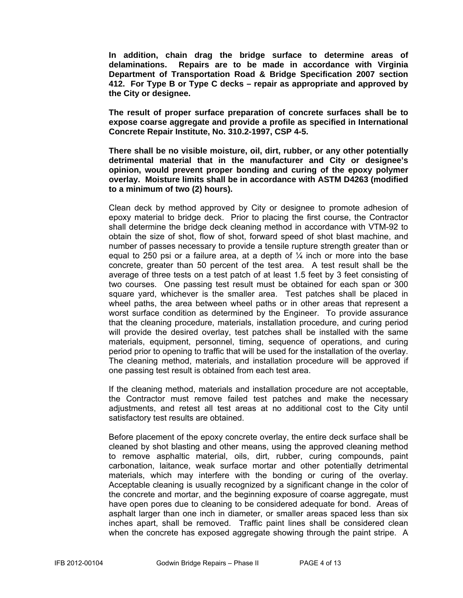**In addition, chain drag the bridge surface to determine areas of delaminations. Repairs are to be made in accordance with Virginia Department of Transportation Road & Bridge Specification 2007 section 412. For Type B or Type C decks – repair as appropriate and approved by the City or designee.** 

**The result of proper surface preparation of concrete surfaces shall be to expose coarse aggregate and provide a profile as specified in International Concrete Repair Institute, No. 310.2-1997, CSP 4-5.** 

 **There shall be no visible moisture, oil, dirt, rubber, or any other potentially detrimental material that in the manufacturer and City or designee's opinion, would prevent proper bonding and curing of the epoxy polymer overlay. Moisture limits shall be in accordance with ASTM D4263 (modified to a minimum of two (2) hours).** 

 Clean deck by method approved by City or designee to promote adhesion of epoxy material to bridge deck. Prior to placing the first course, the Contractor shall determine the bridge deck cleaning method in accordance with VTM-92 to obtain the size of shot, flow of shot, forward speed of shot blast machine, and number of passes necessary to provide a tensile rupture strength greater than or equal to 250 psi or a failure area, at a depth of  $\frac{1}{4}$  inch or more into the base concrete, greater than 50 percent of the test area. A test result shall be the average of three tests on a test patch of at least 1.5 feet by 3 feet consisting of two courses. One passing test result must be obtained for each span or 300 square yard, whichever is the smaller area. Test patches shall be placed in wheel paths, the area between wheel paths or in other areas that represent a worst surface condition as determined by the Engineer. To provide assurance that the cleaning procedure, materials, installation procedure, and curing period will provide the desired overlay, test patches shall be installed with the same materials, equipment, personnel, timing, sequence of operations, and curing period prior to opening to traffic that will be used for the installation of the overlay. The cleaning method, materials, and installation procedure will be approved if one passing test result is obtained from each test area.

 If the cleaning method, materials and installation procedure are not acceptable, the Contractor must remove failed test patches and make the necessary adjustments, and retest all test areas at no additional cost to the City until satisfactory test results are obtained.

 Before placement of the epoxy concrete overlay, the entire deck surface shall be cleaned by shot blasting and other means, using the approved cleaning method to remove asphaltic material, oils, dirt, rubber, curing compounds, paint carbonation, laitance, weak surface mortar and other potentially detrimental materials, which may interfere with the bonding or curing of the overlay. Acceptable cleaning is usually recognized by a significant change in the color of the concrete and mortar, and the beginning exposure of coarse aggregate, must have open pores due to cleaning to be considered adequate for bond. Areas of asphalt larger than one inch in diameter, or smaller areas spaced less than six inches apart, shall be removed. Traffic paint lines shall be considered clean when the concrete has exposed aggregate showing through the paint stripe. A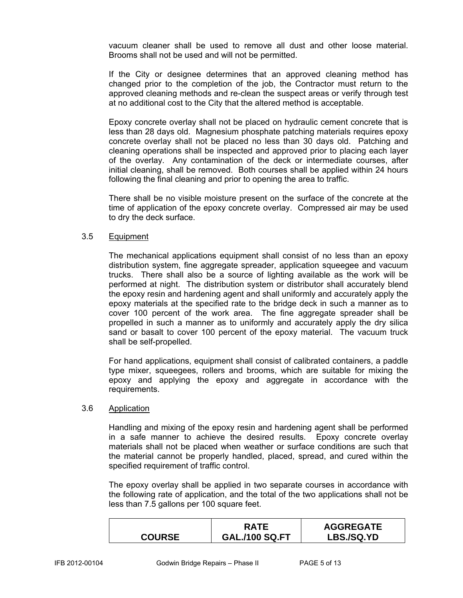vacuum cleaner shall be used to remove all dust and other loose material. Brooms shall not be used and will not be permitted.

 If the City or designee determines that an approved cleaning method has changed prior to the completion of the job, the Contractor must return to the approved cleaning methods and re-clean the suspect areas or verify through test at no additional cost to the City that the altered method is acceptable.

 Epoxy concrete overlay shall not be placed on hydraulic cement concrete that is less than 28 days old. Magnesium phosphate patching materials requires epoxy concrete overlay shall not be placed no less than 30 days old. Patching and cleaning operations shall be inspected and approved prior to placing each layer of the overlay. Any contamination of the deck or intermediate courses, after initial cleaning, shall be removed. Both courses shall be applied within 24 hours following the final cleaning and prior to opening the area to traffic.

 There shall be no visible moisture present on the surface of the concrete at the time of application of the epoxy concrete overlay. Compressed air may be used to dry the deck surface.

### 3.5 Equipment

 The mechanical applications equipment shall consist of no less than an epoxy distribution system, fine aggregate spreader, application squeegee and vacuum trucks. There shall also be a source of lighting available as the work will be performed at night. The distribution system or distributor shall accurately blend the epoxy resin and hardening agent and shall uniformly and accurately apply the epoxy materials at the specified rate to the bridge deck in such a manner as to cover 100 percent of the work area. The fine aggregate spreader shall be propelled in such a manner as to uniformly and accurately apply the dry silica sand or basalt to cover 100 percent of the epoxy material. The vacuum truck shall be self-propelled.

 For hand applications, equipment shall consist of calibrated containers, a paddle type mixer, squeegees, rollers and brooms, which are suitable for mixing the epoxy and applying the epoxy and aggregate in accordance with the requirements.

#### 3.6 Application

 Handling and mixing of the epoxy resin and hardening agent shall be performed in a safe manner to achieve the desired results. Epoxy concrete overlay materials shall not be placed when weather or surface conditions are such that the material cannot be properly handled, placed, spread, and cured within the specified requirement of traffic control.

 The epoxy overlay shall be applied in two separate courses in accordance with the following rate of application, and the total of the two applications shall not be less than 7.5 gallons per 100 square feet.

|               | <b>RATF</b>           | <b>AGGREGATE</b>  |
|---------------|-----------------------|-------------------|
| <b>COURSE</b> | <b>GAL./100 SQ.FT</b> | <b>LBS./SQ.YD</b> |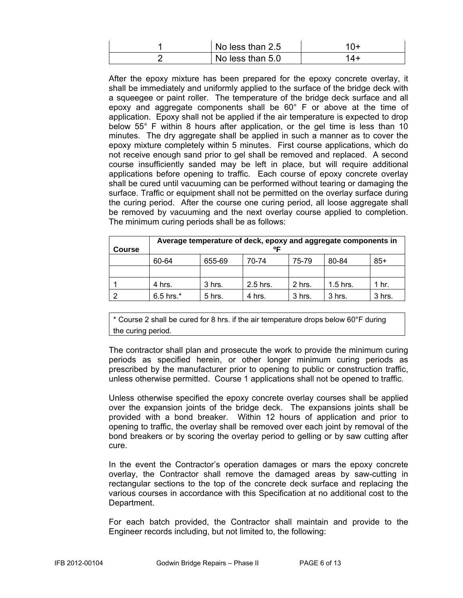| No less than 2.5 |     |
|------------------|-----|
| No less than 5.0 | '4+ |

 After the epoxy mixture has been prepared for the epoxy concrete overlay, it shall be immediately and uniformly applied to the surface of the bridge deck with a squeegee or paint roller. The temperature of the bridge deck surface and all epoxy and aggregate components shall be 60° F or above at the time of application. Epoxy shall not be applied if the air temperature is expected to drop below 55° F within 8 hours after application, or the gel time is less than 10 minutes. The dry aggregate shall be applied in such a manner as to cover the epoxy mixture completely within 5 minutes. First course applications, which do not receive enough sand prior to gel shall be removed and replaced. A second course insufficiently sanded may be left in place, but will require additional applications before opening to traffic. Each course of epoxy concrete overlay shall be cured until vacuuming can be performed without tearing or damaging the surface. Traffic or equipment shall not be permitted on the overlay surface during the curing period. After the course one curing period, all loose aggregate shall be removed by vacuuming and the next overlay course applied to completion. The minimum curing periods shall be as follows:

| <b>Course</b> | Average temperature of deck, epoxy and aggregate components in<br>ᅂ |          |            |        |            |        |
|---------------|---------------------------------------------------------------------|----------|------------|--------|------------|--------|
|               | 60-64                                                               | 655-69   | 70-74      | 75-79  | 80-84      | $85+$  |
|               |                                                                     |          |            |        |            |        |
|               | 4 hrs.                                                              | 3 hrs.   | $2.5$ hrs. | 2 hrs. | $1.5$ hrs. | 1 hr.  |
|               | $6.5$ hrs. $*$                                                      | $5$ hrs. | 4 hrs.     | 3 hrs. | 3 hrs.     | 3 hrs. |

\* Course 2 shall be cured for 8 hrs. if the air temperature drops below 60°F during the curing period.

 The contractor shall plan and prosecute the work to provide the minimum curing periods as specified herein, or other longer minimum curing periods as prescribed by the manufacturer prior to opening to public or construction traffic, unless otherwise permitted. Course 1 applications shall not be opened to traffic.

 Unless otherwise specified the epoxy concrete overlay courses shall be applied over the expansion joints of the bridge deck. The expansions joints shall be provided with a bond breaker. Within 12 hours of application and prior to opening to traffic, the overlay shall be removed over each joint by removal of the bond breakers or by scoring the overlay period to gelling or by saw cutting after cure.

 In the event the Contractor's operation damages or mars the epoxy concrete overlay, the Contractor shall remove the damaged areas by saw-cutting in rectangular sections to the top of the concrete deck surface and replacing the various courses in accordance with this Specification at no additional cost to the Department.

 For each batch provided, the Contractor shall maintain and provide to the Engineer records including, but not limited to, the following: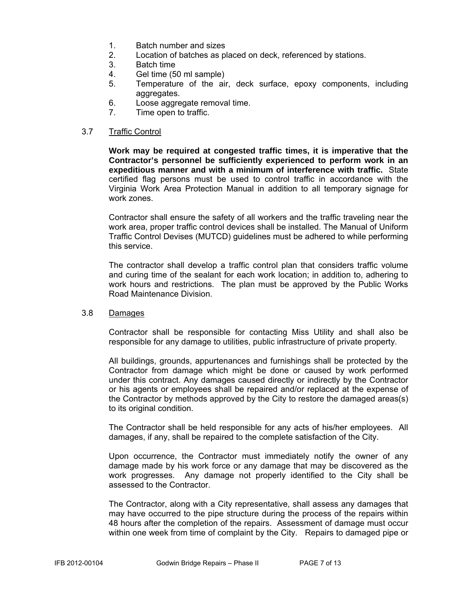- 1. Batch number and sizes
- 2. Location of batches as placed on deck, referenced by stations.
- 3. Batch time
- 4. Gel time (50 ml sample)
- 5. Temperature of the air, deck surface, epoxy components, including aggregates.
- 6. Loose aggregate removal time.
- 7. Time open to traffic.

#### 3.7 Traffic Control

**Work may be required at congested traffic times, it is imperative that the Contractor's personnel be sufficiently experienced to perform work in an expeditious manner and with a minimum of interference with traffic.** State certified flag persons must be used to control traffic in accordance with the Virginia Work Area Protection Manual in addition to all temporary signage for work zones.

Contractor shall ensure the safety of all workers and the traffic traveling near the work area, proper traffic control devices shall be installed. The Manual of Uniform Traffic Control Devises (MUTCD) guidelines must be adhered to while performing this service.

The contractor shall develop a traffic control plan that considers traffic volume and curing time of the sealant for each work location; in addition to, adhering to work hours and restrictions. The plan must be approved by the Public Works Road Maintenance Division.

#### 3.8 Damages

Contractor shall be responsible for contacting Miss Utility and shall also be responsible for any damage to utilities, public infrastructure of private property.

All buildings, grounds, appurtenances and furnishings shall be protected by the Contractor from damage which might be done or caused by work performed under this contract. Any damages caused directly or indirectly by the Contractor or his agents or employees shall be repaired and/or replaced at the expense of the Contractor by methods approved by the City to restore the damaged areas(s) to its original condition.

The Contractor shall be held responsible for any acts of his/her employees. All damages, if any, shall be repaired to the complete satisfaction of the City.

Upon occurrence, the Contractor must immediately notify the owner of any damage made by his work force or any damage that may be discovered as the work progresses. Any damage not properly identified to the City shall be assessed to the Contractor.

The Contractor, along with a City representative, shall assess any damages that may have occurred to the pipe structure during the process of the repairs within 48 hours after the completion of the repairs. Assessment of damage must occur within one week from time of complaint by the City. Repairs to damaged pipe or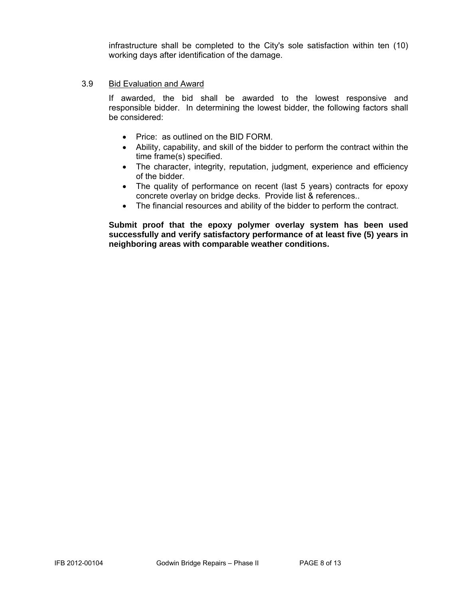infrastructure shall be completed to the City's sole satisfaction within ten (10) working days after identification of the damage.

#### 3.9 Bid Evaluation and Award

If awarded, the bid shall be awarded to the lowest responsive and responsible bidder. In determining the lowest bidder, the following factors shall be considered:

- Price: as outlined on the BID FORM.
- Ability, capability, and skill of the bidder to perform the contract within the time frame(s) specified.
- The character, integrity, reputation, judgment, experience and efficiency of the bidder.
- The quality of performance on recent (last 5 years) contracts for epoxy concrete overlay on bridge decks. Provide list & references..
- The financial resources and ability of the bidder to perform the contract.

**Submit proof that the epoxy polymer overlay system has been used successfully and verify satisfactory performance of at least five (5) years in neighboring areas with comparable weather conditions.**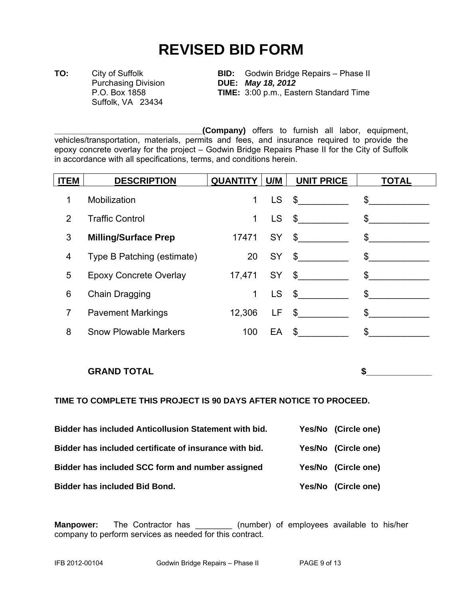# **REVISED BID FORM**

Suffolk, VA 23434

**TO:** City of Suffolk **BID:** Godwin Bridge Repairs – Phase II Purchasing Division **DUE:** *May 18, 2012* **TIME:** 3:00 p.m., Eastern Standard Time

**\_\_\_\_\_\_\_\_\_\_\_\_\_\_\_\_\_\_\_\_\_\_\_\_\_\_\_\_\_\_\_\_(Company)** offers to furnish all labor, equipment, vehicles/transportation, materials, permits and fees, and insurance required to provide the epoxy concrete overlay for the project – Godwin Bridge Repairs Phase II for the City of Suffolk in accordance with all specifications, terms, and conditions herein.

| <b>ITEM</b>    | <b>DESCRIPTION</b>           | <b>QUANTITY   U/M  </b> |           | <b>UNIT PRICE</b> | <b>TOTAL</b>  |
|----------------|------------------------------|-------------------------|-----------|-------------------|---------------|
| 1              | Mobilization                 | 1                       | <b>LS</b> | $\frac{1}{2}$     | $\sim$        |
| $\overline{2}$ | <b>Traffic Control</b>       | 1                       | <b>LS</b> | $\sim$            | $\frac{1}{2}$ |
| 3              | <b>Milling/Surface Prep</b>  | 17471                   | SY        | $\frac{1}{2}$     | $\sim$        |
| 4              | Type B Patching (estimate)   | 20                      | SY        | $\sim$            | $\sim$        |
| 5              | Epoxy Concrete Overlay       | 17,471 SY               |           | $\mathcal{S}$     | $\frac{1}{2}$ |
| 6              | Chain Dragging               | $\mathbf 1$             | <b>LS</b> | $\sim$            | $\frac{1}{2}$ |
| 7              | <b>Pavement Markings</b>     | 12,306                  |           | $LF$ \$           | $\sim$        |
| 8              | <b>Snow Plowable Markers</b> | 100                     | EA        | $\sim$            | \$            |

### **GRAND TOTAL** SPECIFIED ASSESSED ASSESSED ASSESSED ASSESSED ASSESSED ASSESSED ASSESSED ASSESSED ASSESSED ASSESSED ASSESSED ASSESSED AS A LOCAL CONTINUES. A LOCAL CONTINUES. A LOCAL CONTINUES. A LOCAL CONTINUES. A LOCAL CON

### **TIME TO COMPLETE THIS PROJECT IS 90 DAYS AFTER NOTICE TO PROCEED.**

| Bidder has included Anticollusion Statement with bid.  | Yes/No (Circle one) |
|--------------------------------------------------------|---------------------|
| Bidder has included certificate of insurance with bid. | Yes/No (Circle one) |
| Bidder has included SCC form and number assigned       | Yes/No (Circle one) |
| <b>Bidder has included Bid Bond.</b>                   | Yes/No (Circle one) |

**Manpower:** The Contractor has \_\_\_\_\_\_\_\_ (number) of employees available to his/her company to perform services as needed for this contract.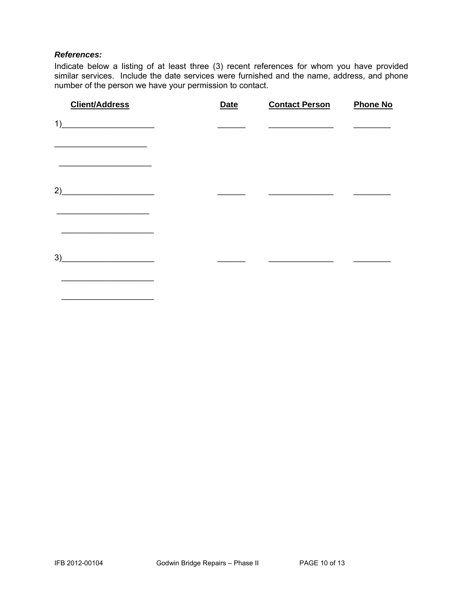#### *References:*

 $\overline{\phantom{a}}$  ,  $\overline{\phantom{a}}$  ,  $\overline{\phantom{a}}$  ,  $\overline{\phantom{a}}$  ,  $\overline{\phantom{a}}$  ,  $\overline{\phantom{a}}$  ,  $\overline{\phantom{a}}$  ,  $\overline{\phantom{a}}$  ,  $\overline{\phantom{a}}$  ,  $\overline{\phantom{a}}$  ,  $\overline{\phantom{a}}$  ,  $\overline{\phantom{a}}$  ,  $\overline{\phantom{a}}$  ,  $\overline{\phantom{a}}$  ,  $\overline{\phantom{a}}$  ,  $\overline{\phantom{a}}$ 

Indicate below a listing of at least three (3) recent references for whom you have provided similar services. Include the date services were furnished and the name, address, and phone number of the person we have your permission to contact.

| <b>Client/Address</b>                                                | <b>Date</b> | <b>Contact Person</b> | <b>Phone No</b> |
|----------------------------------------------------------------------|-------------|-----------------------|-----------------|
| 1)                                                                   |             |                       |                 |
|                                                                      |             |                       |                 |
| 2)<br><u> 1989 - Johann Harry Hermann, markt fyrir yr Amerikan (</u> |             |                       |                 |
| 3)<br><u> 1989 - Johann Barbara, martxa a</u>                        |             |                       |                 |
|                                                                      |             |                       |                 |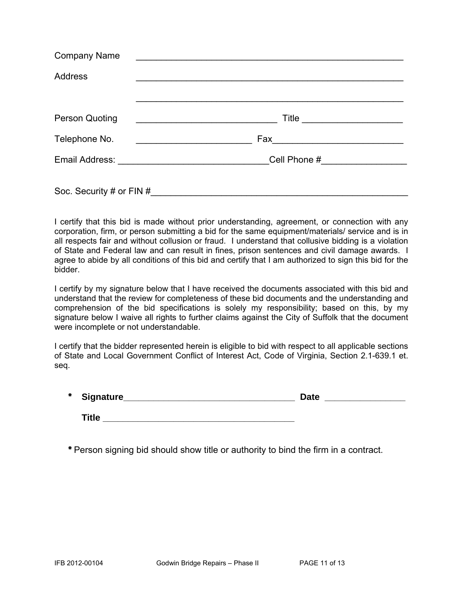| <b>Company Name</b>      | <u> 1980 - Johann Johann Stone, meil in der Stone aus der Stone aus der Stone aus der Stone aus der Stone aus der </u> |
|--------------------------|------------------------------------------------------------------------------------------------------------------------|
| <b>Address</b>           |                                                                                                                        |
|                          |                                                                                                                        |
| <b>Person Quoting</b>    | <u> 1989 - Johann Barbara, martin amerikan basal dan berasal dan berasal dalam basal dalam basal dan berasal dan</u>   |
| Telephone No.            |                                                                                                                        |
|                          | Cell Phone #__________________                                                                                         |
| Soc. Security # or FIN # |                                                                                                                        |

I certify that this bid is made without prior understanding, agreement, or connection with any corporation, firm, or person submitting a bid for the same equipment/materials/ service and is in all respects fair and without collusion or fraud. I understand that collusive bidding is a violation of State and Federal law and can result in fines, prison sentences and civil damage awards. I agree to abide by all conditions of this bid and certify that I am authorized to sign this bid for the bidder.

I certify by my signature below that I have received the documents associated with this bid and understand that the review for completeness of these bid documents and the understanding and comprehension of the bid specifications is solely my responsibility; based on this, by my signature below I waive all rights to further claims against the City of Suffolk that the document were incomplete or not understandable.

I certify that the bidder represented herein is eligible to bid with respect to all applicable sections of State and Local Government Conflict of Interest Act, Code of Virginia, Section 2.1-639.1 et. seq.

| $\ast$ | Signature_ | Jate |  |
|--------|------------|------|--|
|        |            |      |  |

**Title** 

\* Person signing bid should show title or authority to bind the firm in a contract.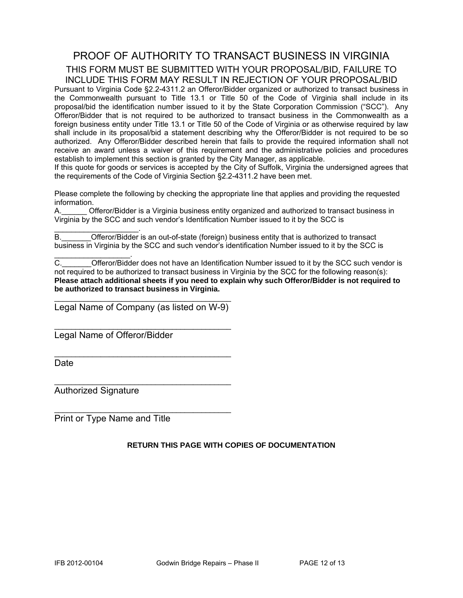### PROOF OF AUTHORITY TO TRANSACT BUSINESS IN VIRGINIA THIS FORM MUST BE SUBMITTED WITH YOUR PROPOSAL/BID, FAILURE TO INCLUDE THIS FORM MAY RESULT IN REJECTION OF YOUR PROPOSAL/BID

Pursuant to Virginia Code §2.2-4311.2 an Offeror/Bidder organized or authorized to transact business in the Commonwealth pursuant to Title 13.1 or Title 50 of the Code of Virginia shall include in its proposal/bid the identification number issued to it by the State Corporation Commission ("SCC"). Any Offeror/Bidder that is not required to be authorized to transact business in the Commonwealth as a foreign business entity under Title 13.1 or Title 50 of the Code of Virginia or as otherwise required by law shall include in its proposal/bid a statement describing why the Offeror/Bidder is not required to be so authorized. Any Offeror/Bidder described herein that fails to provide the required information shall not receive an award unless a waiver of this requirement and the administrative policies and procedures establish to implement this section is granted by the City Manager, as applicable.

If this quote for goods or services is accepted by the City of Suffolk, Virginia the undersigned agrees that the requirements of the Code of Virginia Section §2.2-4311.2 have been met.

Please complete the following by checking the appropriate line that applies and providing the requested information.

A.\_\_\_\_\_\_ Offeror/Bidder is a Virginia business entity organized and authorized to transact business in Virginia by the SCC and such vendor's Identification Number issued to it by the SCC is

 $\mathcal{L}_\text{max}$  and  $\mathcal{L}_\text{max}$  and  $\mathcal{L}_\text{max}$ B. **Combinded Offeror/Bidder** is an out-of-state (foreign) business entity that is authorized to transact business in Virginia by the SCC and such vendor's identification Number issued to it by the SCC is

C. C. Cofferor/Bidder does not have an Identification Number issued to it by the SCC such vendor is not required to be authorized to transact business in Virginia by the SCC for the following reason(s): **Please attach additional sheets if you need to explain why such Offeror/Bidder is not required to be authorized to transact business in Virginia.** 

\_\_\_\_\_\_\_\_\_\_\_\_\_\_\_\_\_\_\_\_\_\_\_\_\_\_\_\_\_\_\_\_\_\_\_\_\_\_\_\_\_\_ Legal Name of Company (as listed on W-9)

\_\_\_\_\_\_\_\_\_\_\_\_\_\_\_\_\_\_\_\_\_\_\_\_\_\_\_\_\_\_\_\_\_\_\_\_\_\_\_\_\_\_

\_\_\_\_\_\_\_\_\_\_\_\_\_\_\_\_\_\_\_\_\_\_\_\_\_\_\_\_\_\_\_\_\_\_\_\_\_\_\_\_\_\_

 $\mathcal{L}_\text{max}$  , and the set of the set of the set of the set of the set of the set of the set of the set of the set of the set of the set of the set of the set of the set of the set of the set of the set of the set of the

 $\mathcal{L}_\text{max}$  , and the set of the set of the set of the set of the set of the set of the set of the set of the set of the set of the set of the set of the set of the set of the set of the set of the set of the set of the

Legal Name of Offeror/Bidder

**Date** 

Authorized Signature

 $\mathcal{L}_\text{max}$  and  $\mathcal{L}_\text{max}$  and  $\mathcal{L}_\text{max}$ 

Print or Type Name and Title

#### **RETURN THIS PAGE WITH COPIES OF DOCUMENTATION**